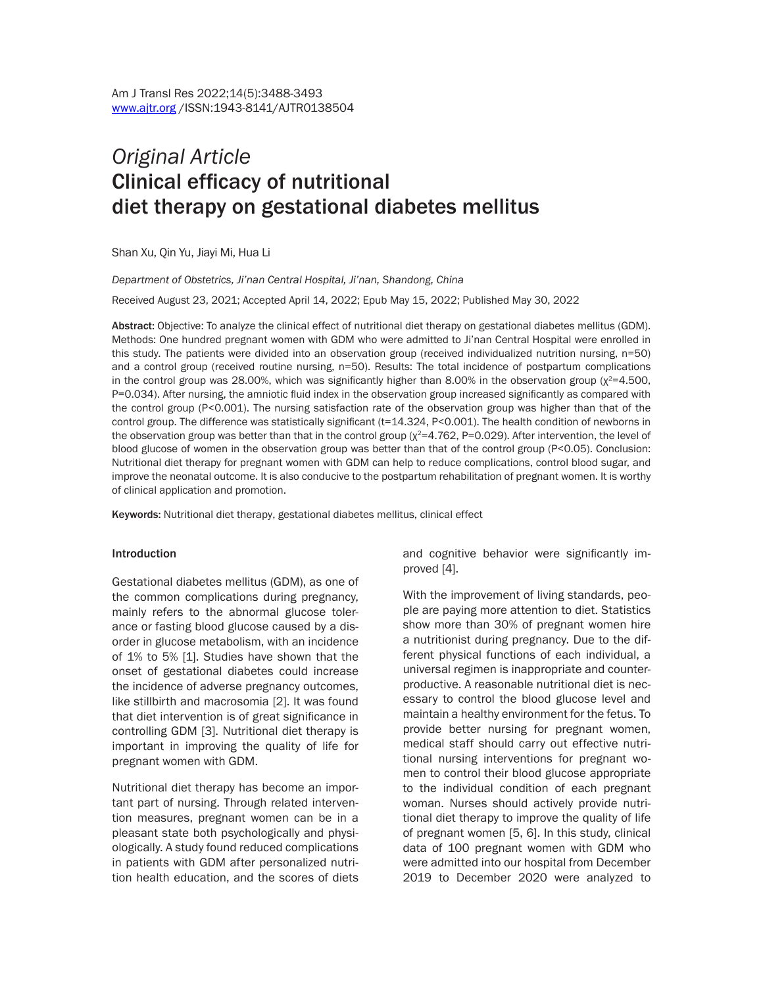# *Original Article* Clinical efficacy of nutritional diet therapy on gestational diabetes mellitus

Shan Xu, Qin Yu, Jiayi Mi, Hua Li

#### *Department of Obstetrics, Ji'nan Central Hospital, Ji'nan, Shandong, China*

Received August 23, 2021; Accepted April 14, 2022; Epub May 15, 2022; Published May 30, 2022

Abstract: Objective: To analyze the clinical effect of nutritional diet therapy on gestational diabetes mellitus (GDM). Methods: One hundred pregnant women with GDM who were admitted to Ji'nan Central Hospital were enrolled in this study. The patients were divided into an observation group (received individualized nutrition nursing, n=50) and a control group (received routine nursing, n=50). Results: The total incidence of postpartum complications in the control group was 28.00%, which was significantly higher than 8.00% in the observation group ( $\chi^2$ =4.500, P=0.034). After nursing, the amniotic fluid index in the observation group increased significantly as compared with the control group (P<0.001). The nursing satisfaction rate of the observation group was higher than that of the control group. The difference was statistically significant (t=14.324, P<0.001). The health condition of newborns in the observation group was better than that in the control group  $(x^2=4.762, P=0.029)$ . After intervention, the level of blood glucose of women in the observation group was better than that of the control group (P<0.05). Conclusion: Nutritional diet therapy for pregnant women with GDM can help to reduce complications, control blood sugar, and improve the neonatal outcome. It is also conducive to the postpartum rehabilitation of pregnant women. It is worthy of clinical application and promotion.

Keywords: Nutritional diet therapy, gestational diabetes mellitus, clinical effect

#### Introduction

Gestational diabetes mellitus (GDM), as one of the common complications during pregnancy, mainly refers to the abnormal glucose tolerance or fasting blood glucose caused by a disorder in glucose metabolism, with an incidence of 1% to 5% [1]. Studies have shown that the onset of gestational diabetes could increase the incidence of adverse pregnancy outcomes, like stillbirth and macrosomia [2]. It was found that diet intervention is of great significance in controlling GDM [3]. Nutritional diet therapy is important in improving the quality of life for pregnant women with GDM.

Nutritional diet therapy has become an important part of nursing. Through related intervention measures, pregnant women can be in a pleasant state both psychologically and physiologically. A study found reduced complications in patients with GDM after personalized nutrition health education, and the scores of diets and cognitive behavior were significantly improved [4].

With the improvement of living standards, people are paying more attention to diet. Statistics show more than 30% of pregnant women hire a nutritionist during pregnancy. Due to the different physical functions of each individual, a universal regimen is inappropriate and counterproductive. A reasonable nutritional diet is necessary to control the blood glucose level and maintain a healthy environment for the fetus. To provide better nursing for pregnant women, medical staff should carry out effective nutritional nursing interventions for pregnant women to control their blood glucose appropriate to the individual condition of each pregnant woman. Nurses should actively provide nutritional diet therapy to improve the quality of life of pregnant women [5, 6]. In this study, clinical data of 100 pregnant women with GDM who were admitted into our hospital from December 2019 to December 2020 were analyzed to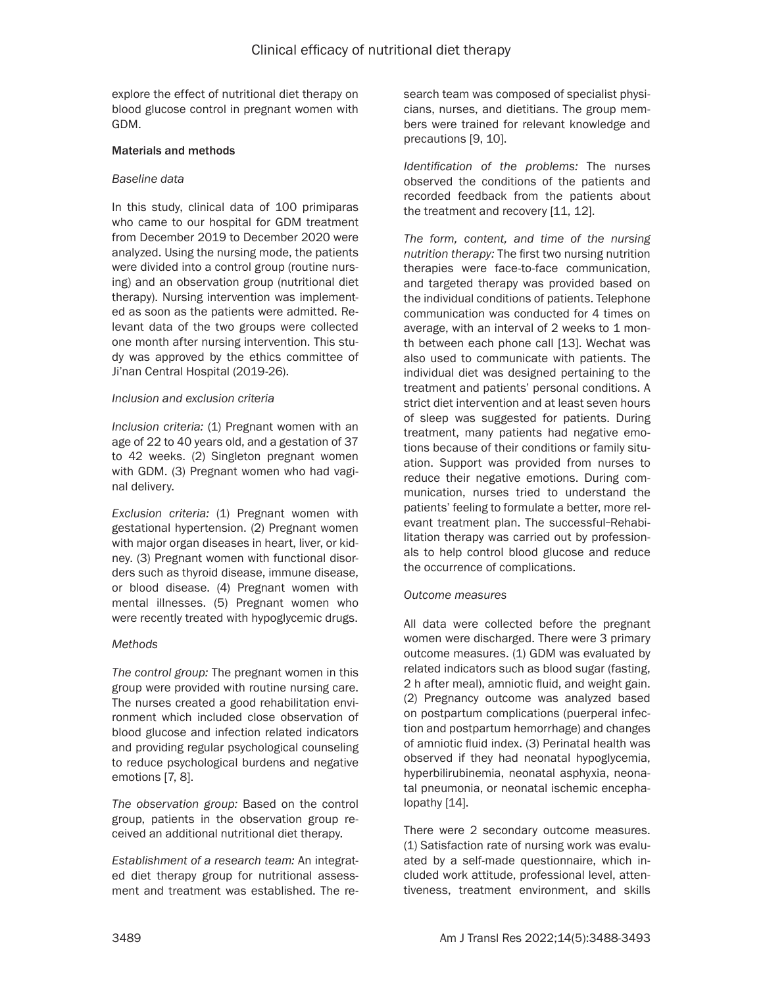explore the effect of nutritional diet therapy on blood glucose control in pregnant women with GDM.

#### Materials and methods

#### *Baseline data*

In this study, clinical data of 100 primiparas who came to our hospital for GDM treatment from December 2019 to December 2020 were analyzed. Using the nursing mode, the patients were divided into a control group (routine nursing) and an observation group (nutritional diet therapy). Nursing intervention was implemented as soon as the patients were admitted. Relevant data of the two groups were collected one month after nursing intervention. This study was approved by the ethics committee of Ji'nan Central Hospital (2019-26).

#### *Inclusion and exclusion criteria*

*Inclusion criteria:* (1) Pregnant women with an age of 22 to 40 years old, and a gestation of 37 to 42 weeks. (2) Singleton pregnant women with GDM. (3) Pregnant women who had vaginal delivery.

*Exclusion criteria:* (1) Pregnant women with gestational hypertension. (2) Pregnant women with major organ diseases in heart, liver, or kidney. (3) Pregnant women with functional disorders such as thyroid disease, immune disease, or blood disease. (4) Pregnant women with mental illnesses. (5) Pregnant women who were recently treated with hypoglycemic drugs.

# *Methods*

*The control group:* The pregnant women in this group were provided with routine nursing care. The nurses created a good rehabilitation environment which included close observation of blood glucose and infection related indicators and providing regular psychological counseling to reduce psychological burdens and negative emotions [7, 8].

*The observation group:* Based on the control group, patients in the observation group received an additional nutritional diet therapy.

*Establishment of a research team:* An integrated diet therapy group for nutritional assessment and treatment was established. The research team was composed of specialist physicians, nurses, and dietitians. The group members were trained for relevant knowledge and precautions [9, 10].

*Identification of the problems:* The nurses observed the conditions of the patients and recorded feedback from the patients about the treatment and recovery [11, 12].

*The form, content, and time of the nursing nutrition therapy:* The first two nursing nutrition therapies were face-to-face communication, and targeted therapy was provided based on the individual conditions of patients. Telephone communication was conducted for 4 times on average, with an interval of 2 weeks to 1 month between each phone call [13]. Wechat was also used to communicate with patients. The individual diet was designed pertaining to the treatment and patients' personal conditions. A strict diet intervention and at least seven hours of sleep was suggested for patients. During treatment, many patients had negative emotions because of their conditions or family situation. Support was provided from nurses to reduce their negative emotions. During communication, nurses tried to understand the patients' feeling to formulate a better, more relevant treatment plan. The successful-Rehabilitation therapy was carried out by professionals to help control blood glucose and reduce the occurrence of complications.

# *Outcome measures*

All data were collected before the pregnant women were discharged. There were 3 primary outcome measures. (1) GDM was evaluated by related indicators such as blood sugar (fasting, 2 h after meal), amniotic fluid, and weight gain. (2) Pregnancy outcome was analyzed based on postpartum complications (puerperal infection and postpartum hemorrhage) and changes of amniotic fluid index. (3) Perinatal health was observed if they had neonatal hypoglycemia, hyperbilirubinemia, neonatal asphyxia, neonatal pneumonia, or neonatal ischemic encephalopathy [14].

There were 2 secondary outcome measures. (1) Satisfaction rate of nursing work was evaluated by a self-made questionnaire, which included work attitude, professional level, attentiveness, treatment environment, and skills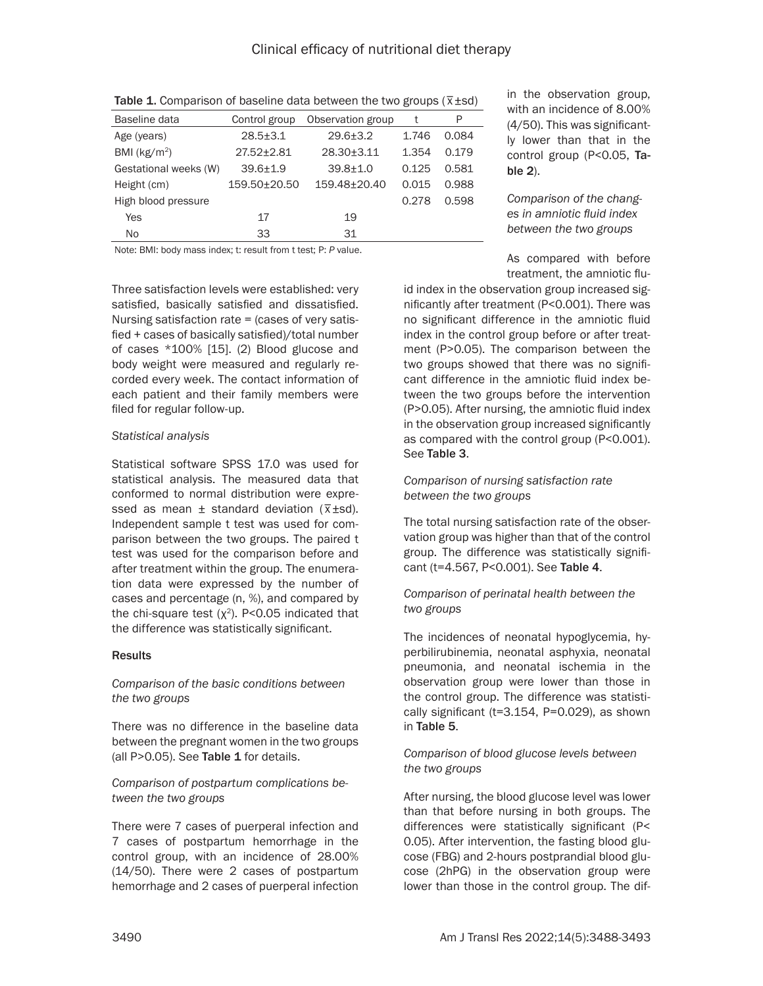| Baseline data         | Control group      | Observation group | t     | P     |
|-----------------------|--------------------|-------------------|-------|-------|
| Age (years)           | $28.5 \pm 3.1$     | $29.6 \pm 3.2$    | 1.746 | 0.084 |
| BMI ( $kg/m2$ )       | $27.52 \pm 2.81$   | 28.30±3.11        | 1.354 | 0.179 |
| Gestational weeks (W) | $39.6 + 1.9$       | $39.8 + 1.0$      | 0.125 | 0.581 |
| Height (cm)           | $159.50 \pm 20.50$ | 159.48±20.40      | 0.015 | 0.988 |
| High blood pressure   |                    |                   | 0.278 | 0.598 |
| Yes                   | 17                 | 19                |       |       |
| No                    | 33                 | 31                |       |       |

Table 1. Comparison of baseline data between the two groups ( $\bar{x}$ ±sd)

Note: BMI: body mass index; t: result from t test; P: *P* value.

Three satisfaction levels were established: very satisfied, basically satisfied and dissatisfied. Nursing satisfaction rate = (cases of very satisfied + cases of basically satisfied)/total number of cases \*100% [15]. (2) Blood glucose and body weight were measured and regularly recorded every week. The contact information of each patient and their family members were filed for regular follow-up.

## *Statistical analysis*

Statistical software SPSS 17.0 was used for statistical analysis. The measured data that conformed to normal distribution were expressed as mean  $\pm$  standard deviation ( $\overline{x}$  ±sd). Independent sample t test was used for comparison between the two groups. The paired t test was used for the comparison before and after treatment within the group. The enumeration data were expressed by the number of cases and percentage (n, %), and compared by the chi-square test  $(x^2)$ . P<0.05 indicated that the difference was statistically significant.

# **Results**

## *Comparison of the basic conditions between the two groups*

There was no difference in the baseline data between the pregnant women in the two groups (all P>0.05). See Table 1 for details.

## *Comparison of postpartum complications between the two groups*

There were 7 cases of puerperal infection and 7 cases of postpartum hemorrhage in the control group, with an incidence of 28.00% (14/50). There were 2 cases of postpartum hemorrhage and 2 cases of puerperal infection

in the observation group, with an incidence of 8.00% (4/50). This was significantly lower than that in the control group (P<0.05, Table 2).

*Comparison of the changes in amniotic fluid index between the two groups*

As compared with before treatment, the amniotic flu-

id index in the observation group increased significantly after treatment (P<0.001). There was no significant difference in the amniotic fluid index in the control group before or after treatment (P>0.05). The comparison between the two groups showed that there was no significant difference in the amniotic fluid index between the two groups before the intervention (P>0.05). After nursing, the amniotic fluid index in the observation group increased significantly as compared with the control group (P<0.001). See Table 3.

# *Comparison of nursing satisfaction rate between the two groups*

The total nursing satisfaction rate of the observation group was higher than that of the control group. The difference was statistically significant (t=4.567, P<0.001). See Table 4.

## *Comparison of perinatal health between the two groups*

The incidences of neonatal hypoglycemia, hyperbilirubinemia, neonatal asphyxia, neonatal pneumonia, and neonatal ischemia in the observation group were lower than those in the control group. The difference was statistically significant (t=3.154, P=0.029), as shown in Table 5.

## *Comparison of blood glucose levels between the two groups*

After nursing, the blood glucose level was lower than that before nursing in both groups. The differences were statistically significant (P< 0.05). After intervention, the fasting blood glucose (FBG) and 2-hours postprandial blood glucose (2hPG) in the observation group were lower than those in the control group. The dif-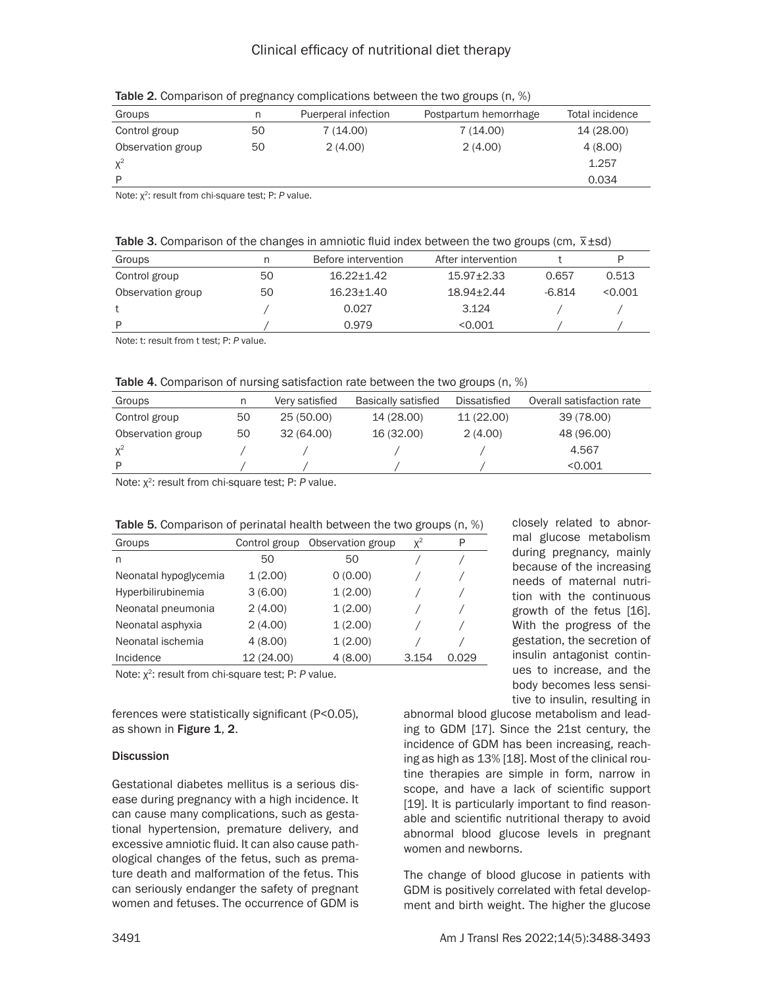| Groups            | n  | Puerperal infection | Postpartum hemorrhage | Total incidence |
|-------------------|----|---------------------|-----------------------|-----------------|
| Control group     | 50 | 7(14.00)            | 7(14.00)              | 14 (28.00)      |
| Observation group | 50 | 2(4.00)             | 2(4.00)               | 4(8.00)         |
| $X^2$             |    |                     |                       | 1.257           |
| Þ                 |    |                     |                       | 0.034           |

Table 2. Comparison of pregnancy complications between the two groups (n, %)

Note: χ2: result from chi-square test; P: *P* value.

|  | Table 3. Comparison of the changes in amniotic fluid index between the two groups (cm, $\bar{x}$ ±sd) |
|--|-------------------------------------------------------------------------------------------------------|

| Groups            |    | Before intervention | After intervention |          |         |
|-------------------|----|---------------------|--------------------|----------|---------|
| Control group     | 50 | $16.22 + 1.42$      | $15.97 + 2.33$     | 0.657    | 0.513   |
| Observation group | 50 | $16.23 + 1.40$      | $18.94 + 2.44$     | $-6.814$ | < 0.001 |
|                   |    | 0.027               | 3.124              |          |         |
| P                 |    | 0.979               | < 0.001            |          |         |
|                   |    |                     |                    |          |         |

Note: t: result from t test; P: *P* value.

Table 4. Comparison of nursing satisfaction rate between the two groups (n, %)

| Groups            | n  | Very satisfied | Basically satisfied | Dissatisfied | Overall satisfaction rate |
|-------------------|----|----------------|---------------------|--------------|---------------------------|
| Control group     | 50 | 25 (50.00)     | 14 (28.00)          | 11 (22.00)   | 39 (78.00)                |
| Observation group | 50 | 32 (64.00)     | 16 (32.00)          | 2(4.00)      | 48 (96.00)                |
| $X^2$             |    |                |                     |              | 4.567                     |
| P                 |    |                |                     |              | < 0.001                   |

Note: χ2: result from chi-square test; P: *P* value.

| Table 5. Comparison of perinatal health between the two groups (n, %) |  |  |  |  |
|-----------------------------------------------------------------------|--|--|--|--|
|-----------------------------------------------------------------------|--|--|--|--|

| Groups                | Control group | Observation group | $X^2$ | P     |
|-----------------------|---------------|-------------------|-------|-------|
| n                     | 50            | 50                |       |       |
| Neonatal hypoglycemia | 1(2.00)       | 0(0.00)           |       |       |
| Hyperbilirubinemia    | 3(6.00)       | 1(2.00)           |       |       |
| Neonatal pneumonia    | 2(4.00)       | 1(2.00)           |       |       |
| Neonatal asphyxia     | 2(4.00)       | 1(2.00)           |       |       |
| Neonatal ischemia     | 4(8.00)       | 1(2.00)           |       |       |
| Incidence             | 12 (24.00)    | 4(8.00)           | 3.154 | Ი Ი29 |

Note: χ2: result from chi-square test; P: *P* value.

ferences were statistically significant (P<0.05), as shown in Figure 1, 2.

#### **Discussion**

Gestational diabetes mellitus is a serious disease during pregnancy with a high incidence. It can cause many complications, such as gestational hypertension, premature delivery, and excessive amniotic fluid. It can also cause pathological changes of the fetus, such as premature death and malformation of the fetus. This can seriously endanger the safety of pregnant women and fetuses. The occurrence of GDM is

closely related to abnormal glucose metabolism during pregnancy, mainly because of the increasing needs of maternal nutrition with the continuous growth of the fetus [16]. With the progress of the gestation, the secretion of insulin antagonist continues to increase, and the body becomes less sensitive to insulin, resulting in

abnormal blood glucose metabolism and leading to GDM [17]. Since the 21st century, the incidence of GDM has been increasing, reaching as high as 13% [18]. Most of the clinical routine therapies are simple in form, narrow in scope, and have a lack of scientific support [19]. It is particularly important to find reasonable and scientific nutritional therapy to avoid abnormal blood glucose levels in pregnant women and newborns.

The change of blood glucose in patients with GDM is positively correlated with fetal development and birth weight. The higher the glucose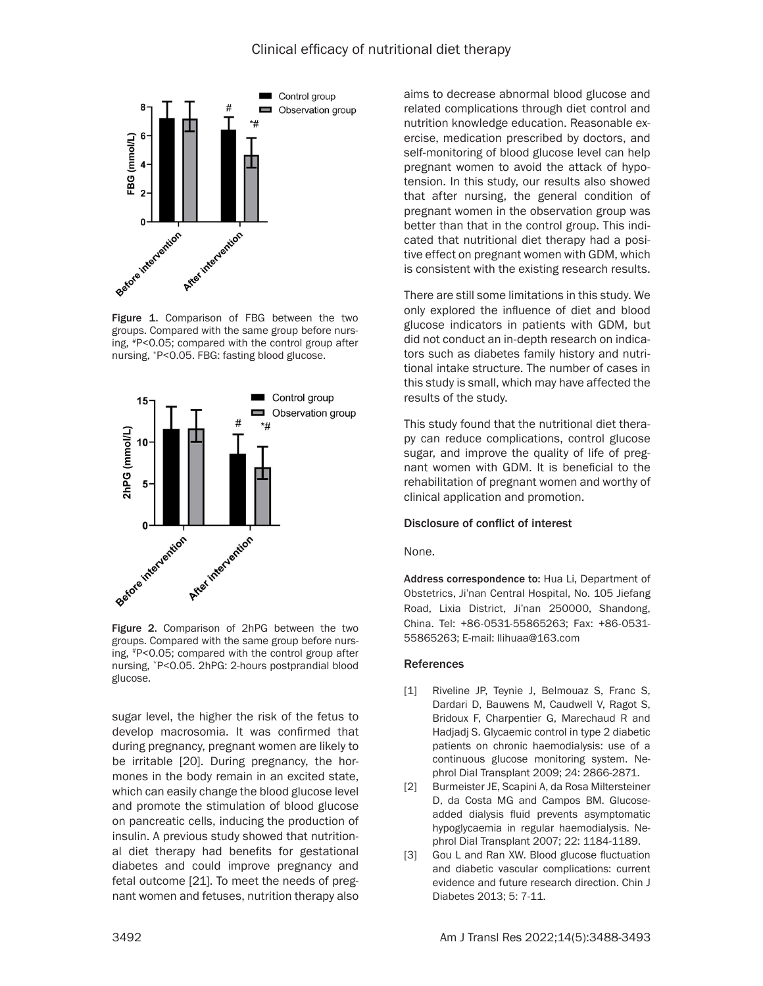

Figure 1. Comparison of FBG between the two groups. Compared with the same group before nursing, #P<0.05; compared with the control group after nursing, \*P<0.05. FBG: fasting blood glucose.



Figure 2. Comparison of 2hPG between the two groups. Compared with the same group before nursing, #P<0.05; compared with the control group after nursing, \*P<0.05. 2hPG: 2-hours postprandial blood glucose.

sugar level, the higher the risk of the fetus to develop macrosomia. It was confirmed that during pregnancy, pregnant women are likely to be irritable [20]. During pregnancy, the hormones in the body remain in an excited state, which can easily change the blood glucose level and promote the stimulation of blood glucose on pancreatic cells, inducing the production of insulin. A previous study showed that nutritional diet therapy had benefits for gestational diabetes and could improve pregnancy and fetal outcome [21]. To meet the needs of pregnant women and fetuses, nutrition therapy also aims to decrease abnormal blood glucose and related complications through diet control and nutrition knowledge education. Reasonable exercise, medication prescribed by doctors, and self-monitoring of blood glucose level can help pregnant women to avoid the attack of hypotension. In this study, our results also showed that after nursing, the general condition of pregnant women in the observation group was better than that in the control group. This indicated that nutritional diet therapy had a positive effect on pregnant women with GDM, which is consistent with the existing research results.

There are still some limitations in this study. We only explored the influence of diet and blood glucose indicators in patients with GDM, but did not conduct an in-depth research on indicators such as diabetes family history and nutritional intake structure. The number of cases in this study is small, which may have affected the results of the study.

This study found that the nutritional diet therapy can reduce complications, control glucose sugar, and improve the quality of life of pregnant women with GDM. It is beneficial to the rehabilitation of pregnant women and worthy of clinical application and promotion.

#### Disclosure of conflict of interest

#### None.

Address correspondence to: Hua Li, Department of Obstetrics, Ji'nan Central Hospital, No. 105 Jiefang Road, Lixia District, Ji'nan 250000, Shandong, China. Tel: +86-0531-55865263; Fax: +86-0531- 55865263; E-mail: [llihuaa@163.com](mailto:llihuaa@163.com)

#### References

- [1] Riveline JP, Teynie J, Belmouaz S, Franc S, Dardari D, Bauwens M, Caudwell V, Ragot S, Bridoux F, Charpentier G, Marechaud R and Hadjadj S. Glycaemic control in type 2 diabetic patients on chronic haemodialysis: use of a continuous glucose monitoring system. Nephrol Dial Transplant 2009; 24: 2866-2871.
- [2] Burmeister JE, Scapini A, da Rosa Miltersteiner D, da Costa MG and Campos BM. Glucoseadded dialysis fluid prevents asymptomatic hypoglycaemia in regular haemodialysis. Nephrol Dial Transplant 2007; 22: 1184-1189.
- [3] Gou L and Ran XW. Blood glucose fluctuation and diabetic vascular complications: current evidence and future research direction. Chin J Diabetes 2013; 5: 7-11.